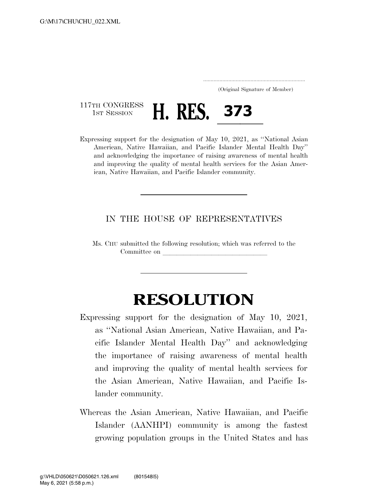..................................................................... (Original Signature of Member)

117TH CONGRESS<br>1st Session

TH CONGRESS **H. RES. 373**<br>ressing support for the designation of May 10, 2021, as "N Expressing support for the designation of May 10, 2021, as ''National Asian American, Native Hawaiian, and Pacific Islander Mental Health Day'' and acknowledging the importance of raising awareness of mental health and improving the quality of mental health services for the Asian American, Native Hawaiian, and Pacific Islander community.

## IN THE HOUSE OF REPRESENTATIVES

Ms. CHU submitted the following resolution; which was referred to the Committee on

## **RESOLUTION**

- Expressing support for the designation of May 10, 2021, as ''National Asian American, Native Hawaiian, and Pacific Islander Mental Health Day'' and acknowledging the importance of raising awareness of mental health and improving the quality of mental health services for the Asian American, Native Hawaiian, and Pacific Islander community.
- Whereas the Asian American, Native Hawaiian, and Pacific Islander (AANHPI) community is among the fastest growing population groups in the United States and has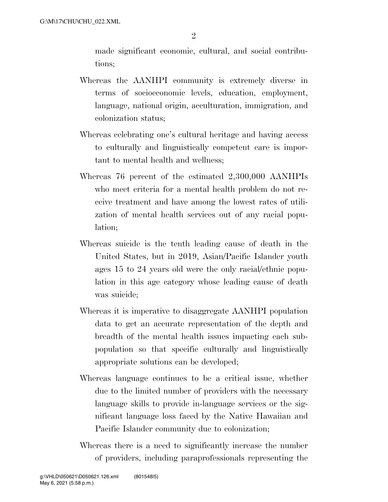made significant economic, cultural, and social contributions;

- Whereas the AANHPI community is extremely diverse in terms of socioeconomic levels, education, employment, language, national origin, acculturation, immigration, and colonization status;
- Whereas celebrating one's cultural heritage and having access to culturally and linguistically competent care is important to mental health and wellness;
- Whereas 76 percent of the estimated 2,300,000 AANHPIs who meet criteria for a mental health problem do not receive treatment and have among the lowest rates of utilization of mental health services out of any racial population;
- Whereas suicide is the tenth leading cause of death in the United States, but in 2019, Asian/Pacific Islander youth ages 15 to 24 years old were the only racial/ethnic population in this age category whose leading cause of death was suicide;
- Whereas it is imperative to disaggregate AANHPI population data to get an accurate representation of the depth and breadth of the mental health issues impacting each subpopulation so that specific culturally and linguistically appropriate solutions can be developed;
- Whereas language continues to be a critical issue, whether due to the limited number of providers with the necessary language skills to provide in-language services or the significant language loss faced by the Native Hawaiian and Pacific Islander community due to colonization;
- Whereas there is a need to significantly increase the number of providers, including paraprofessionals representing the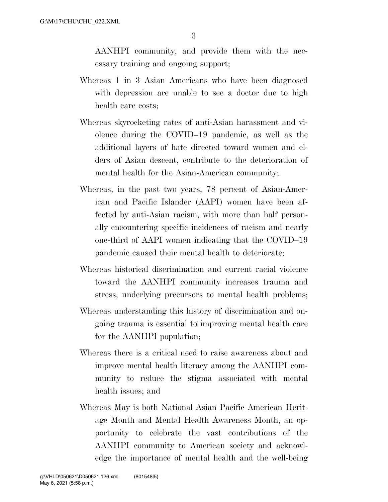AANHPI community, and provide them with the necessary training and ongoing support;

- Whereas 1 in 3 Asian Americans who have been diagnosed with depression are unable to see a doctor due to high health care costs;
- Whereas skyrocketing rates of anti-Asian harassment and violence during the COVID–19 pandemic, as well as the additional layers of hate directed toward women and elders of Asian descent, contribute to the deterioration of mental health for the Asian-American community;
- Whereas, in the past two years, 78 percent of Asian-American and Pacific Islander (AAPI) women have been affected by anti-Asian racism, with more than half personally encountering specific incidences of racism and nearly one-third of AAPI women indicating that the COVID–19 pandemic caused their mental health to deteriorate;
- Whereas historical discrimination and current racial violence toward the AANHPI community increases trauma and stress, underlying precursors to mental health problems;
- Whereas understanding this history of discrimination and ongoing trauma is essential to improving mental health care for the AANHPI population;
- Whereas there is a critical need to raise awareness about and improve mental health literacy among the AANHPI community to reduce the stigma associated with mental health issues; and
- Whereas May is both National Asian Pacific American Heritage Month and Mental Health Awareness Month, an opportunity to celebrate the vast contributions of the AANHPI community to American society and acknowledge the importance of mental health and the well-being